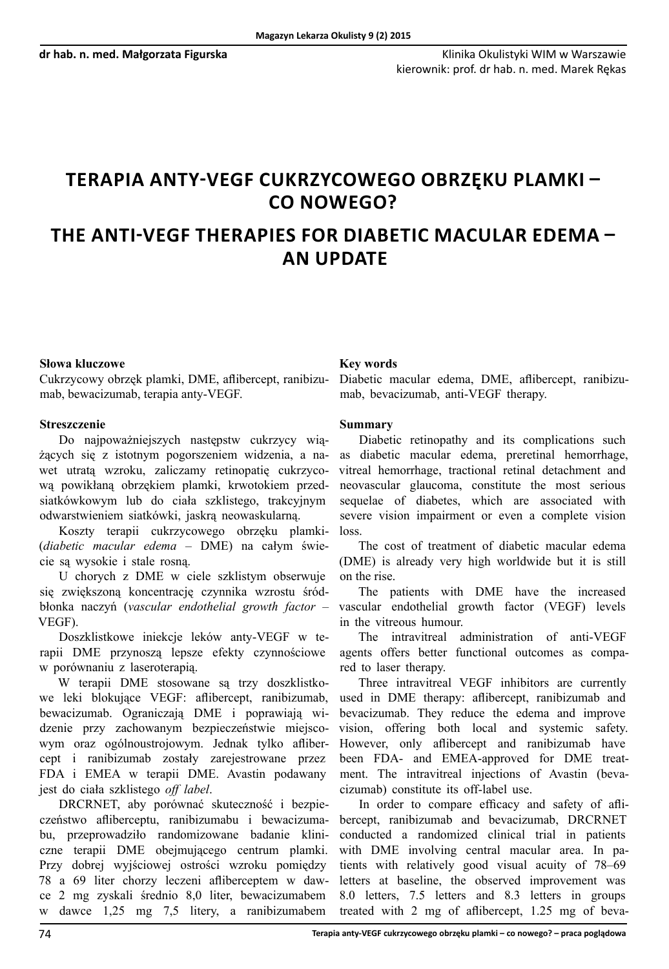# **Terapia anty-VEGF cukrzycowego obrzęku plamki – co nowego?**

# **The anti-VEGF therapies for diabetic macular edema – an update**

### **Słowa kluczowe**

Cukrzycowy obrzęk plamki, DME, aflibercept, ranibizumab, bewacizumab, terapia anty-VEGF.

## **Streszczenie**

Do najpoważniejszych następstw cukrzycy wiążących się z istotnym pogorszeniem widzenia, a nawet utratą wzroku, zaliczamy retinopatię cukrzycową powikłaną obrzękiem plamki, krwotokiem przedsiatkówkowym lub do ciała szklistego, trakcyjnym odwarstwieniem siatkówki, jaskrą neowaskularną.

Koszty terapii cukrzycowego obrzęku plamki- (*diabetic macular edema* – DME) na całym świecie są wysokie i stale rosną.

U chorych z DME w ciele szklistym obserwuje się zwiększoną koncentrację czynnika wzrostu śródbłonka naczyń (*vascular endothelial growth factor* – VEGF).

Doszklistkowe iniekcje leków anty-VEGF w terapii DME przynoszą lepsze efekty czynnościowe w porównaniu z laseroterapią.

W terapii DME stosowane są trzy doszklistkowe leki blokujące VEGF: aflibercept, ranibizumab, bewacizumab. Ograniczają DME i poprawiają widzenie przy zachowanym bezpieczeństwie miejscowym oraz ogólnoustrojowym. Jednak tylko aflibercept i ranibizumab zostały zarejestrowane przez FDA i EMEA w terapii DME. Avastin podawany jest do ciała szklistego *off label*.

DRCRNET, aby porównać skuteczność i bezpieczeństwo afliberceptu, ranibizumabu i bewacizumabu, przeprowadziło randomizowane badanie kliniczne terapii DME obejmującego centrum plamki. Przy dobrej wyjściowej ostrości wzroku pomiędzy 78 a 69 liter chorzy leczeni afliberceptem w dawce 2 mg zyskali średnio 8,0 liter, bewacizumabem w dawce 1,25 mg 7,5 litery, a ranibizumabem

#### **Key words**

Diabetic macular edema, DME, aflibercept, ranibizumab, bevacizumab, anti-VEGF therapy.

### **Summary**

Diabetic retinopathy and its complications such as diabetic macular edema, preretinal hemorrhage, vitreal hemorrhage, tractional retinal detachment and neovascular glaucoma, constitute the most serious sequelae of diabetes, which are associated with severe vision impairment or even a complete vision loss.

The cost of treatment of diabetic macular edema (DME) is already very high worldwide but it is still on the rise.

The patients with DME have the increased vascular endothelial growth factor (VEGF) levels in the vitreous humour.

The intravitreal administration of anti-VEGF agents offers better functional outcomes as compared to laser therapy.

Three intravitreal VEGF inhibitors are currently used in DME therapy: aflibercept, ranibizumab and bevacizumab. They reduce the edema and improve vision, offering both local and systemic safety. However, only aflibercept and ranibizumab have been FDA- and EMEA-approved for DME treatment. The intravitreal injections of Avastin (bevacizumab) constitute its off-label use.

In order to compare efficacy and safety of aflibercept, ranibizumab and bevacizumab, DRCRNET conducted a randomized clinical trial in patients with DME involving central macular area. In patients with relatively good visual acuity of 78–69 letters at baseline, the observed improvement was 8.0 letters, 7.5 letters and 8.3 letters in groups treated with 2 mg of aflibercept, 1.25 mg of beva